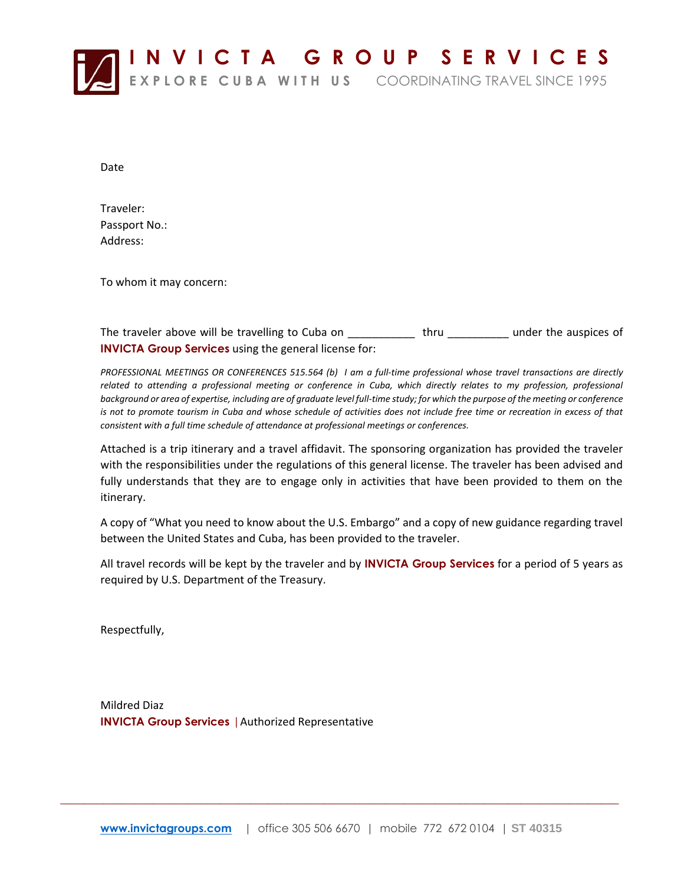

Date

Traveler: Passport No.: Address:

To whom it may concern:

The traveler above will be travelling to Cuba on \_\_\_\_\_\_\_\_\_\_\_\_ thru \_\_\_\_\_\_\_\_\_\_\_ under the auspices of **INVICTA Group Services** using the general license for:

*PROFESSIONAL MEETINGS OR CONFERENCES 515.564 (b) I am a full-time professional whose travel transactions are directly*  related to attending a professional meeting or conference in Cuba, which directly relates to my profession, professional *background or area of expertise, including are of graduate level full-time study; for which the purpose of the meeting or conference is not to promote tourism in Cuba and whose schedule of activities does not include free time or recreation in excess of that consistent with a full time schedule of attendance at professional meetings or conferences.*

Attached is a trip itinerary and a travel affidavit. The sponsoring organization has provided the traveler with the responsibilities under the regulations of this general license. The traveler has been advised and fully understands that they are to engage only in activities that have been provided to them on the itinerary.

A copy of "What you need to know about the U.S. Embargo" and a copy of new guidance regarding travel between the United States and Cuba, has been provided to the traveler.

All travel records will be kept by the traveler and by **INVICTA Group Services** for a period of 5 years as required by U.S. Department of the Treasury.

Respectfully,

Mildred Diaz **INVICTA Group Services** |Authorized Representative

 $\_$  ,  $\_$  ,  $\_$  ,  $\_$  ,  $\_$  ,  $\_$  ,  $\_$  ,  $\_$  ,  $\_$  ,  $\_$  ,  $\_$  ,  $\_$  ,  $\_$  ,  $\_$  ,  $\_$  ,  $\_$  ,  $\_$  ,  $\_$  ,  $\_$  ,  $\_$  ,  $\_$  ,  $\_$  ,  $\_$  ,  $\_$  ,  $\_$  ,  $\_$  ,  $\_$  ,  $\_$  ,  $\_$  ,  $\_$  ,  $\_$  ,  $\_$  ,  $\_$  ,  $\_$  ,  $\_$  ,  $\_$  ,  $\_$  ,